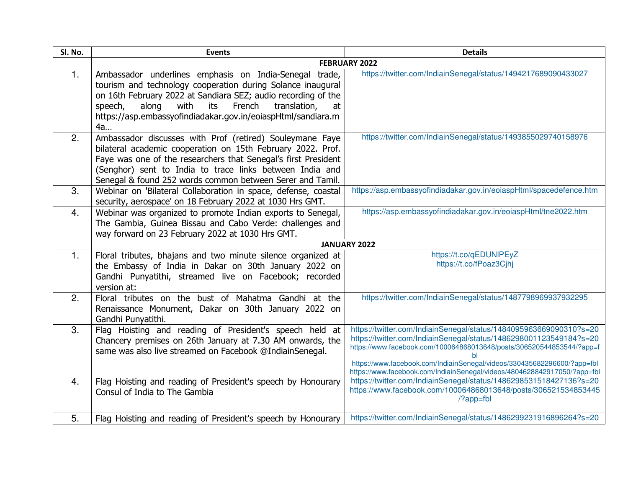| Sl. No. | <b>Events</b>                                                                                                                                                                                                                                                                                                                   | <b>Details</b>                                                                                                                                                                                                                                                                                                                                                           |
|---------|---------------------------------------------------------------------------------------------------------------------------------------------------------------------------------------------------------------------------------------------------------------------------------------------------------------------------------|--------------------------------------------------------------------------------------------------------------------------------------------------------------------------------------------------------------------------------------------------------------------------------------------------------------------------------------------------------------------------|
|         |                                                                                                                                                                                                                                                                                                                                 | <b>FEBRUARY 2022</b>                                                                                                                                                                                                                                                                                                                                                     |
| 1.      | Ambassador underlines emphasis on India-Senegal trade,<br>tourism and technology cooperation during Solance inaugural<br>on 16th February 2022 at Sandiara SEZ; audio recording of the<br>with<br>French<br>speech,<br>along<br>its<br>translation,<br>at<br>https://asp.embassyofindiadakar.gov.in/eoiaspHtml/sandiara.m<br>4a | https://twitter.com/IndiainSenegal/status/1494217689090433027                                                                                                                                                                                                                                                                                                            |
| 2.      | Ambassador discusses with Prof (retired) Souleymane Faye<br>bilateral academic cooperation on 15th February 2022. Prof.<br>Faye was one of the researchers that Senegal's first President<br>(Senghor) sent to India to trace links between India and<br>Senegal & found 252 words common between Serer and Tamil.              | https://twitter.com/IndiainSenegal/status/1493855029740158976                                                                                                                                                                                                                                                                                                            |
| 3.      | Webinar on 'Bilateral Collaboration in space, defense, coastal<br>security, aerospace' on 18 February 2022 at 1030 Hrs GMT.                                                                                                                                                                                                     | https://asp.embassyofindiadakar.gov.in/eoiaspHtml/spacedefence.htm                                                                                                                                                                                                                                                                                                       |
| 4.      | Webinar was organized to promote Indian exports to Senegal,<br>The Gambia, Guinea Bissau and Cabo Verde: challenges and<br>way forward on 23 February 2022 at 1030 Hrs GMT.                                                                                                                                                     | https://asp.embassyofindiadakar.gov.in/eoiaspHtml/tne2022.htm                                                                                                                                                                                                                                                                                                            |
|         |                                                                                                                                                                                                                                                                                                                                 | <b>JANUARY 2022</b>                                                                                                                                                                                                                                                                                                                                                      |
| 1.      | Floral tributes, bhajans and two minute silence organized at<br>the Embassy of India in Dakar on 30th January 2022 on<br>Gandhi Punyatithi, streamed live on Facebook; recorded<br>version at:                                                                                                                                  | https://t.co/qEDUNIPEyZ<br>https://t.co/fPoaz3Cjhj                                                                                                                                                                                                                                                                                                                       |
| 2.      | Floral tributes on the bust of Mahatma Gandhi at the<br>Renaissance Monument, Dakar on 30th January 2022 on<br>Gandhi Punyatithi.                                                                                                                                                                                               | https://twitter.com/IndiainSenegal/status/1487798969937932295                                                                                                                                                                                                                                                                                                            |
| 3.      | Flag Hoisting and reading of President's speech held at<br>Chancery premises on 26th January at 7.30 AM onwards, the<br>same was also live streamed on Facebook @IndiainSenegal.                                                                                                                                                | https://twitter.com/IndiainSenegal/status/1484095963669090310?s=20<br>https://twitter.com/IndiainSenegal/status/1486298001123549184?s=20<br>https://www.facebook.com/100064868013648/posts/306520544853544/?app=f<br>https://www.facebook.com/IndiainSenegal/videos/330435682296600/?app=fbl<br>https://www.facebook.com/IndiainSenegal/videos/4804628842917050/?app=fbl |
| 4.      | Flag Hoisting and reading of President's speech by Honourary<br>Consul of India to The Gambia                                                                                                                                                                                                                                   | https://twitter.com/IndiainSenegal/status/1486298531518427136?s=20<br>https://www.facebook.com/100064868013648/posts/306521534853445<br>$/$ ?app=fbl                                                                                                                                                                                                                     |
| 5.      | Flag Hoisting and reading of President's speech by Honourary                                                                                                                                                                                                                                                                    | https://twitter.com/IndiainSenegal/status/1486299231916896264?s=20                                                                                                                                                                                                                                                                                                       |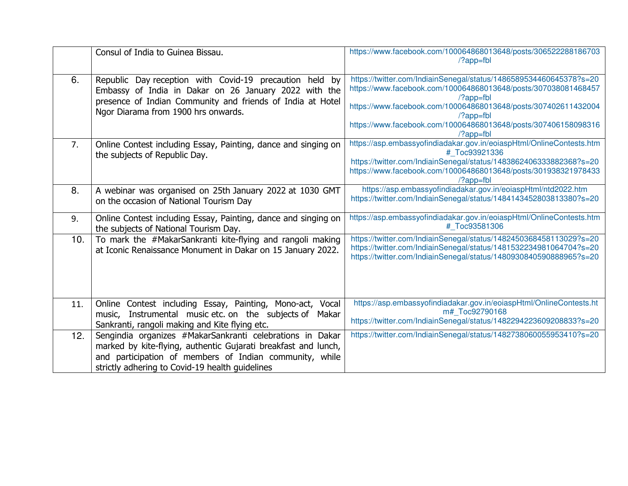|     | Consul of India to Guinea Bissau.                                                                                                                                                                                                         | https://www.facebook.com/100064868013648/posts/306522288186703<br>$\frac{7}{2}$ app=fbl                                                                                                                                                                                                                                                         |
|-----|-------------------------------------------------------------------------------------------------------------------------------------------------------------------------------------------------------------------------------------------|-------------------------------------------------------------------------------------------------------------------------------------------------------------------------------------------------------------------------------------------------------------------------------------------------------------------------------------------------|
| 6.  | Republic Day reception with Covid-19 precaution held by<br>Embassy of India in Dakar on 26 January 2022 with the<br>presence of Indian Community and friends of India at Hotel<br>Ngor Diarama from 1900 hrs onwards.                     | https://twitter.com/IndiainSenegal/status/1486589534460645378?s=20<br>https://www.facebook.com/100064868013648/posts/307038081468457<br>$\frac{?app=fb}{ }$<br>https://www.facebook.com/100064868013648/posts/307402611432004<br>$\frac{7}{2}$ app=fbl<br>https://www.facebook.com/100064868013648/posts/307406158098316<br>$\frac{?app=fb}{ }$ |
| 7.  | Online Contest including Essay, Painting, dance and singing on<br>the subjects of Republic Day.                                                                                                                                           | https://asp.embassyofindiadakar.gov.in/eoiaspHtml/OnlineContests.htm<br># Toc93921336<br>https://twitter.com/IndiainSenegal/status/1483862406333882368?s=20<br>https://www.facebook.com/100064868013648/posts/301938321978433<br>$\frac{?app = fbl}{ }$                                                                                         |
| 8.  | A webinar was organised on 25th January 2022 at 1030 GMT<br>on the occasion of National Tourism Day                                                                                                                                       | https://asp.embassyofindiadakar.gov.in/eoiaspHtml/ntd2022.htm<br>https://twitter.com/IndiainSenegal/status/1484143452803813380?s=20                                                                                                                                                                                                             |
| 9.  | Online Contest including Essay, Painting, dance and singing on<br>the subjects of National Tourism Day.                                                                                                                                   | https://asp.embassyofindiadakar.gov.in/eoiaspHtml/OnlineContests.htm<br># Toc93581306                                                                                                                                                                                                                                                           |
| 10. | To mark the #MakarSankranti kite-flying and rangoli making<br>at Iconic Renaissance Monument in Dakar on 15 January 2022.                                                                                                                 | https://twitter.com/IndiainSenegal/status/1482450368458113029?s=20<br>https://twitter.com/IndiainSenegal/status/1481532234981064704?s=20<br>https://twitter.com/IndiainSenegal/status/1480930840590888965?s=20                                                                                                                                  |
| 11. | Online Contest including Essay, Painting, Mono-act, Vocal<br>music, Instrumental music etc. on the subjects of<br>Makar<br>Sankranti, rangoli making and Kite flying etc.                                                                 | https://asp.embassyofindiadakar.gov.in/eoiaspHtml/OnlineContests.ht<br>m# Toc92790168<br>https://twitter.com/IndiainSenegal/status/1482294223609208833?s=20                                                                                                                                                                                     |
| 12. | Sengindia organizes #MakarSankranti celebrations in Dakar<br>marked by kite-flying, authentic Gujarati breakfast and lunch,<br>and participation of members of Indian community, while<br>strictly adhering to Covid-19 health guidelines | https://twitter.com/IndiainSenegal/status/1482738060055953410?s=20                                                                                                                                                                                                                                                                              |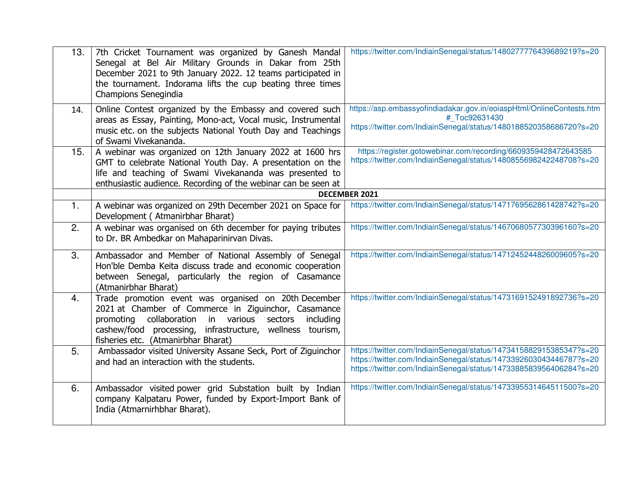| 13.            | 7th Cricket Tournament was organized by Ganesh Mandal<br>Senegal at Bel Air Military Grounds in Dakar from 25th<br>December 2021 to 9th January 2022. 12 teams participated in<br>the tournament. Indorama lifts the cup beating three times<br>Champions Senegindia        | https://twitter.com/IndiainSenegal/status/1480277776439689219?s=20                                                                                                                                             |
|----------------|-----------------------------------------------------------------------------------------------------------------------------------------------------------------------------------------------------------------------------------------------------------------------------|----------------------------------------------------------------------------------------------------------------------------------------------------------------------------------------------------------------|
| 14.            | Online Contest organized by the Embassy and covered such<br>areas as Essay, Painting, Mono-act, Vocal music, Instrumental<br>music etc. on the subjects National Youth Day and Teachings<br>of Swami Vivekananda.                                                           | https://asp.embassyofindiadakar.gov.in/eoiaspHtml/OnlineContests.htm<br># Toc92631430<br>https://twitter.com/IndiainSenegal/status/1480188520358686720?s=20                                                    |
| 15.            | A webinar was organized on 12th January 2022 at 1600 hrs<br>GMT to celebrate National Youth Day. A presentation on the<br>life and teaching of Swami Vivekananda was presented to<br>enthusiastic audience. Recording of the webinar can be seen at                         | https://register.gotowebinar.com/recording/6609359428472643585<br>https://twitter.com/IndiainSenegal/status/1480855698242248708?s=20                                                                           |
|                |                                                                                                                                                                                                                                                                             | DECEMBER 2021                                                                                                                                                                                                  |
| $\mathbf{1}$ . | A webinar was organized on 29th December 2021 on Space for<br>Development (Atmanirbhar Bharat)                                                                                                                                                                              | https://twitter.com/IndiainSenegal/status/1471769562861428742?s=20                                                                                                                                             |
| 2.             | A webinar was organised on 6th december for paying tributes<br>to Dr. BR Ambedkar on Mahaparinirvan Divas.                                                                                                                                                                  | https://twitter.com/IndiainSenegal/status/1467068057730396160?s=20                                                                                                                                             |
| 3.             | Ambassador and Member of National Assembly of Senegal<br>Hon'ble Demba Keita discuss trade and economic cooperation<br>between Senegal, particularly the region of Casamance<br>(Atmanirbhar Bharat)                                                                        | https://twitter.com/IndiainSenegal/status/1471245244826009605?s=20                                                                                                                                             |
| 4.             | Trade promotion event was organised on 20th December<br>2021 at Chamber of Commerce in Ziguinchor, Casamance<br>promoting collaboration in various sectors<br>including<br>cashew/food processing, infrastructure, wellness tourism,<br>fisheries etc. (Atmanirbhar Bharat) | https://twitter.com/IndiainSenegal/status/1473169152491892736?s=20                                                                                                                                             |
| 5.             | Ambassador visited University Assane Seck, Port of Ziguinchor<br>and had an interaction with the students.                                                                                                                                                                  | https://twitter.com/IndiainSenegal/status/1473415882915385347?s=20<br>https://twitter.com/IndiainSenegal/status/1473392603043446787?s=20<br>https://twitter.com/IndiainSenegal/status/1473388583956406284?s=20 |
| 6.             | Ambassador visited power grid Substation built by Indian<br>company Kalpataru Power, funded by Export-Import Bank of<br>India (Atmarnirhbhar Bharat).                                                                                                                       | https://twitter.com/IndiainSenegal/status/1473395531464511500?s=20                                                                                                                                             |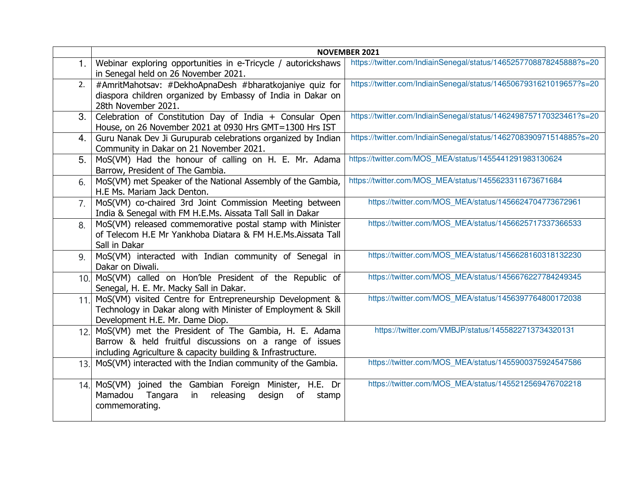|                |                                                                                                                                                                                | <b>NOVEMBER 2021</b>                                               |
|----------------|--------------------------------------------------------------------------------------------------------------------------------------------------------------------------------|--------------------------------------------------------------------|
| 1 <sub>1</sub> | Webinar exploring opportunities in e-Tricycle / autorickshaws<br>in Senegal held on 26 November 2021.                                                                          | https://twitter.com/IndiainSenegal/status/1465257708878245888?s=20 |
| 2.             | #AmritMahotsav: #DekhoApnaDesh #bharatkojaniye quiz for<br>diaspora children organized by Embassy of India in Dakar on<br>28th November 2021.                                  | https://twitter.com/IndiainSenegal/status/1465067931621019657?s=20 |
| 3.             | Celebration of Constitution Day of India + Consular Open<br>House, on 26 November 2021 at 0930 Hrs GMT=1300 Hrs IST                                                            | https://twitter.com/IndiainSenegal/status/1462498757170323461?s=20 |
| 4.             | Guru Nanak Dev Ji Gurupurab celebrations organized by Indian<br>Community in Dakar on 21 November 2021.                                                                        | https://twitter.com/IndiainSenegal/status/1462708390971514885?s=20 |
| 5.             | MoS(VM) Had the honour of calling on H. E. Mr. Adama<br>Barrow, President of The Gambia.                                                                                       | https://twitter.com/MOS_MEA/status/1455441291983130624             |
| 6.             | MoS(VM) met Speaker of the National Assembly of the Gambia,<br>H.E Ms. Mariam Jack Denton.                                                                                     | https://twitter.com/MOS_MEA/status/1455623311673671684             |
| 7.             | MoS(VM) co-chaired 3rd Joint Commission Meeting between<br>India & Senegal with FM H.E.Ms. Aissata Tall Sall in Dakar                                                          | https://twitter.com/MOS_MEA/status/1456624704773672961             |
| 8.             | MoS(VM) released commemorative postal stamp with Minister<br>of Telecom H.E Mr Yankhoba Diatara & FM H.E.Ms.Aissata Tall<br>Sall in Dakar                                      | https://twitter.com/MOS MEA/status/1456625717337366533             |
| 9.             | MoS(VM) interacted with Indian community of Senegal in<br>Dakar on Diwali.                                                                                                     | https://twitter.com/MOS_MEA/status/1456628160318132230             |
| 10.1           | MoS(VM) called on Hon'ble President of the Republic of<br>Senegal, H. E. Mr. Macky Sall in Dakar.                                                                              | https://twitter.com/MOS_MEA/status/1456676227784249345             |
| 11.            | MoS(VM) visited Centre for Entrepreneurship Development &<br>Technology in Dakar along with Minister of Employment & Skill<br>Development H.E. Mr. Dame Diop.                  | https://twitter.com/MOS_MEA/status/1456397764800172038             |
| 12.1           | MoS(VM) met the President of The Gambia, H. E. Adama<br>Barrow & held fruitful discussions on a range of issues<br>including Agriculture & capacity building & Infrastructure. | https://twitter.com/VMBJP/status/1455822713734320131               |
| 13.1           | MoS(VM) interacted with the Indian community of the Gambia.                                                                                                                    | https://twitter.com/MOS_MEA/status/1455900375924547586             |
| 14.            | MoS(VM) joined the Gambian Foreign Minister, H.E. Dr<br>Mamadou<br>Tangara<br>releasing<br>in<br>design<br><b>of</b><br>stamp<br>commemorating.                                | https://twitter.com/MOS_MEA/status/1455212569476702218             |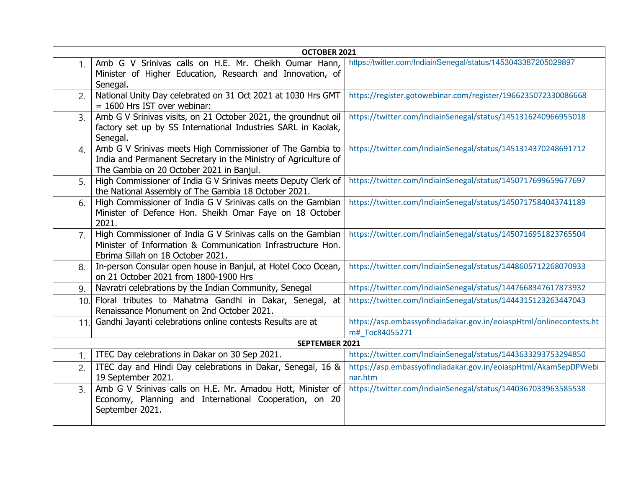| OCTOBER 2021   |                                                                                                                                                                          |                                                                                       |
|----------------|--------------------------------------------------------------------------------------------------------------------------------------------------------------------------|---------------------------------------------------------------------------------------|
| 1 <sub>1</sub> | Amb G V Srinivas calls on H.E. Mr. Cheikh Oumar Hann,<br>Minister of Higher Education, Research and Innovation, of<br>Senegal.                                           | https://twitter.com/IndiainSenegal/status/1453043387205029897                         |
| 2.             | National Unity Day celebrated on 31 Oct 2021 at 1030 Hrs GMT<br>$= 1600$ Hrs IST over webinar:                                                                           | https://register.gotowebinar.com/register/1966235072330086668                         |
| 3.             | Amb G V Srinivas visits, on 21 October 2021, the groundnut oil<br>factory set up by SS International Industries SARL in Kaolak,<br>Senegal.                              | https://twitter.com/IndiainSenegal/status/1451316240966955018                         |
| $\mathbf{4}$ . | Amb G V Srinivas meets High Commissioner of The Gambia to<br>India and Permanent Secretary in the Ministry of Agriculture of<br>The Gambia on 20 October 2021 in Banjul. | https://twitter.com/IndiainSenegal/status/1451314370248691712                         |
| 5.             | High Commissioner of India G V Srinivas meets Deputy Clerk of<br>the National Assembly of The Gambia 18 October 2021.                                                    | https://twitter.com/IndiainSenegal/status/1450717699659677697                         |
| 6.             | High Commissioner of India G V Srinivas calls on the Gambian<br>Minister of Defence Hon. Sheikh Omar Faye on 18 October<br>2021.                                         | https://twitter.com/IndiainSenegal/status/1450717584043741189                         |
| 7.             | High Commissioner of India G V Srinivas calls on the Gambian<br>Minister of Information & Communication Infrastructure Hon.<br>Ebrima Sillah on 18 October 2021.         | https://twitter.com/IndiainSenegal/status/1450716951823765504                         |
| 8.             | In-person Consular open house in Banjul, at Hotel Coco Ocean,<br>on 21 October 2021 from 1800-1900 Hrs                                                                   | https://twitter.com/IndiainSenegal/status/1448605712268070933                         |
| 9.             | Navratri celebrations by the Indian Community, Senegal                                                                                                                   | https://twitter.com/IndiainSenegal/status/1447668347617873932                         |
| 10.            | Floral tributes to Mahatma Gandhi in Dakar, Senegal, at<br>Renaissance Monument on 2nd October 2021.                                                                     | https://twitter.com/IndiainSenegal/status/1444315123263447043                         |
| 11.            | Gandhi Jayanti celebrations online contests Results are at                                                                                                               | https://asp.embassyofindiadakar.gov.in/eoiaspHtml/onlinecontests.ht<br>m# Toc84055271 |
| SEPTEMBER 2021 |                                                                                                                                                                          |                                                                                       |
| 1.             | ITEC Day celebrations in Dakar on 30 Sep 2021.                                                                                                                           | https://twitter.com/IndiainSenegal/status/1443633293753294850                         |
| 2.             | ITEC day and Hindi Day celebrations in Dakar, Senegal, 16 &<br>19 September 2021.                                                                                        | https://asp.embassyofindiadakar.gov.in/eoiaspHtml/AkamSepDPWebi<br>nar.htm            |
| 3 <sub>1</sub> | Amb G V Srinivas calls on H.E. Mr. Amadou Hott, Minister of<br>Economy, Planning and International Cooperation, on 20<br>September 2021.                                 | https://twitter.com/IndiainSenegal/status/1440367033963585538                         |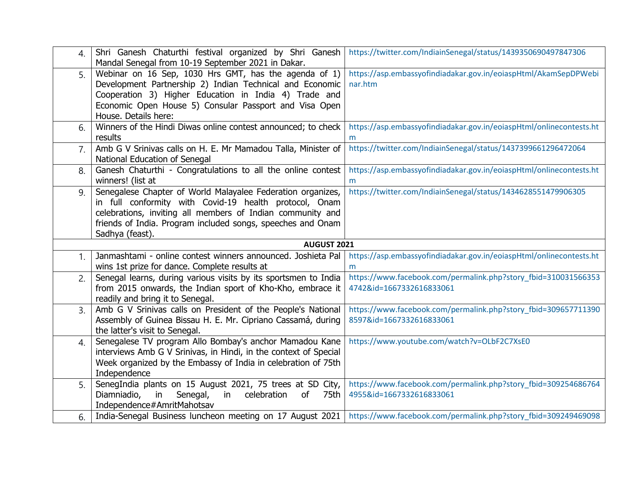| $\overline{4}$ . | Shri Ganesh Chaturthi festival organized by Shri Ganesh<br>Mandal Senegal from 10-19 September 2021 in Dakar. | https://twitter.com/IndiainSenegal/status/1439350690497847306                                                              |
|------------------|---------------------------------------------------------------------------------------------------------------|----------------------------------------------------------------------------------------------------------------------------|
| 5.               | Webinar on 16 Sep, 1030 Hrs GMT, has the agenda of 1)                                                         | https://asp.embassyofindiadakar.gov.in/eoiaspHtml/AkamSepDPWebi                                                            |
|                  | Development Partnership 2) Indian Technical and Economic                                                      | nar.htm                                                                                                                    |
|                  | Cooperation 3) Higher Education in India 4) Trade and                                                         |                                                                                                                            |
|                  | Economic Open House 5) Consular Passport and Visa Open                                                        |                                                                                                                            |
|                  | House. Details here:                                                                                          |                                                                                                                            |
| 6.               | Winners of the Hindi Diwas online contest announced; to check                                                 | https://asp.embassyofindiadakar.gov.in/eoiaspHtml/onlinecontests.ht                                                        |
|                  | results                                                                                                       | m                                                                                                                          |
| 7.               | Amb G V Srinivas calls on H. E. Mr Mamadou Talla, Minister of                                                 | https://twitter.com/IndiainSenegal/status/1437399661296472064                                                              |
|                  | National Education of Senegal                                                                                 |                                                                                                                            |
| 8.               | Ganesh Chaturthi - Congratulations to all the online contest                                                  | https://asp.embassyofindiadakar.gov.in/eoiaspHtml/onlinecontests.ht                                                        |
|                  | winners! (list at                                                                                             | m                                                                                                                          |
| 9.               | Senegalese Chapter of World Malayalee Federation organizes,                                                   | https://twitter.com/IndiainSenegal/status/1434628551479906305                                                              |
|                  | in full conformity with Covid-19 health protocol, Onam                                                        |                                                                                                                            |
|                  | celebrations, inviting all members of Indian community and                                                    |                                                                                                                            |
|                  | friends of India. Program included songs, speeches and Onam                                                   |                                                                                                                            |
|                  | Sadhya (feast).                                                                                               |                                                                                                                            |
|                  | <b>AUGUST 2021</b>                                                                                            |                                                                                                                            |
| 1 <sub>1</sub>   | Janmashtami - online contest winners announced. Joshieta Pal                                                  | https://asp.embassyofindiadakar.gov.in/eoiaspHtml/onlinecontests.ht                                                        |
|                  | wins 1st prize for dance. Complete results at                                                                 | m                                                                                                                          |
| 2.               | Senegal learns, during various visits by its sportsmen to India                                               | https://www.facebook.com/permalink.php?story_fbid=310031566353                                                             |
|                  | from 2015 onwards, the Indian sport of Kho-Kho, embrace it                                                    | 4742&id=1667332616833061                                                                                                   |
|                  | readily and bring it to Senegal.                                                                              |                                                                                                                            |
| 3.               | Amb G V Srinivas calls on President of the People's National                                                  | https://www.facebook.com/permalink.php?story fbid=309657711390                                                             |
|                  | Assembly of Guinea Bissau H. E. Mr. Cipriano Cassamá, during                                                  | 8597&id=1667332616833061                                                                                                   |
|                  | the latter's visit to Senegal.                                                                                |                                                                                                                            |
| $\overline{4}$ . | Senegalese TV program Allo Bombay's anchor Mamadou Kane                                                       | https://www.youtube.com/watch?v=OLbF2C7XsE0                                                                                |
|                  | interviews Amb G V Srinivas, in Hindi, in the context of Special                                              |                                                                                                                            |
|                  | Week organized by the Embassy of India in celebration of 75th                                                 |                                                                                                                            |
|                  | Independence                                                                                                  |                                                                                                                            |
| 5.               | SenegIndia plants on 15 August 2021, 75 trees at SD City,                                                     | https://www.facebook.com/permalink.php?story_fbid=309254686764                                                             |
|                  | Senegal,<br>celebration<br><sub>of</sub><br>75th<br>Diamniadio,<br>in<br>in                                   | 4955&id=1667332616833061                                                                                                   |
|                  | Independence#AmritMahotsav                                                                                    |                                                                                                                            |
| 6.               |                                                                                                               | India-Senegal Business luncheon meeting on 17 August 2021   https://www.facebook.com/permalink.php?story_fbid=309249469098 |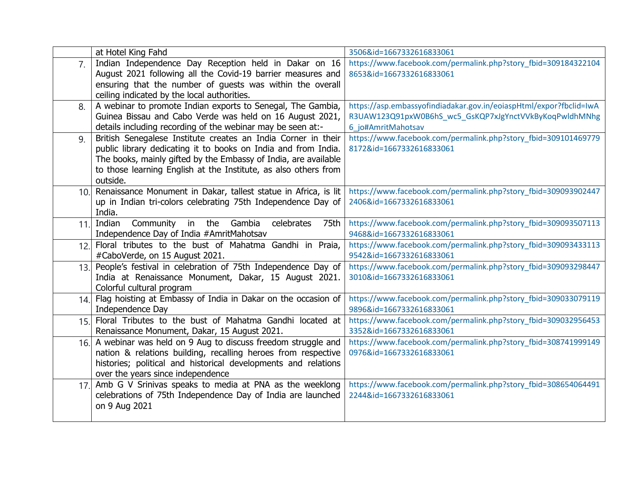|                | at Hotel King Fahd                                                                                                        | 3506&id=1667332616833061                                                                   |
|----------------|---------------------------------------------------------------------------------------------------------------------------|--------------------------------------------------------------------------------------------|
| 7 <sub>1</sub> | Indian Independence Day Reception held in Dakar on 16                                                                     | https://www.facebook.com/permalink.php?story_fbid=309184322104                             |
|                | August 2021 following all the Covid-19 barrier measures and                                                               | 8653&id=1667332616833061                                                                   |
|                | ensuring that the number of guests was within the overall                                                                 |                                                                                            |
|                | ceiling indicated by the local authorities.                                                                               |                                                                                            |
| 8.             | A webinar to promote Indian exports to Senegal, The Gambia,                                                               | https://asp.embassyofindiadakar.gov.in/eoiaspHtml/expor?fbclid=IwA                         |
|                | Guinea Bissau and Cabo Verde was held on 16 August 2021,                                                                  | R3UAW123Q91pxW0B6hS wc5 GsKQP7xJgYnctVVkByKoqPwldhMNhg                                     |
|                | details including recording of the webinar may be seen at:-                                                               | 6 jo#AmritMahotsav                                                                         |
| 9.             | British Senegalese Institute creates an India Corner in their                                                             | https://www.facebook.com/permalink.php?story_fbid=309101469779                             |
|                | public library dedicating it to books on India and from India.                                                            | 8172&id=1667332616833061                                                                   |
|                | The books, mainly gifted by the Embassy of India, are available                                                           |                                                                                            |
|                | to those learning English at the Institute, as also others from                                                           |                                                                                            |
|                | outside.                                                                                                                  |                                                                                            |
|                | 10. Renaissance Monument in Dakar, tallest statue in Africa, is lit                                                       | https://www.facebook.com/permalink.php?story_fbid=309093902447                             |
|                | up in Indian tri-colors celebrating 75th Independence Day of                                                              | 2406&id=1667332616833061                                                                   |
|                | India.                                                                                                                    |                                                                                            |
| 11.            | Indian<br>Community in the<br>Gambia<br>celebrates<br>75th                                                                | https://www.facebook.com/permalink.php?story_fbid=309093507113                             |
|                | Independence Day of India #AmritMahotsav                                                                                  | 9468&id=1667332616833061                                                                   |
|                | 12. Floral tributes to the bust of Mahatma Gandhi in Praia,                                                               | https://www.facebook.com/permalink.php?story_fbid=309093433113                             |
|                | #CaboVerde, on 15 August 2021.                                                                                            | 9542&id=1667332616833061                                                                   |
|                | 13. People's festival in celebration of 75th Independence Day of<br>India at Renaissance Monument, Dakar, 15 August 2021. | https://www.facebook.com/permalink.php?story_fbid=309093298447<br>3010&id=1667332616833061 |
|                | Colorful cultural program                                                                                                 |                                                                                            |
|                | 14. Flag hoisting at Embassy of India in Dakar on the occasion of                                                         | https://www.facebook.com/permalink.php?story_fbid=309033079119                             |
|                | Independence Day                                                                                                          | 9896&id=1667332616833061                                                                   |
| 15.1           | Floral Tributes to the bust of Mahatma Gandhi located at                                                                  | https://www.facebook.com/permalink.php?story_fbid=309032956453                             |
|                | Renaissance Monument, Dakar, 15 August 2021.                                                                              | 3352&id=1667332616833061                                                                   |
|                | 16. A webinar was held on 9 Aug to discuss freedom struggle and                                                           | https://www.facebook.com/permalink.php?story_fbid=308741999149                             |
|                | nation & relations building, recalling heroes from respective                                                             | 0976&id=1667332616833061                                                                   |
|                | histories; political and historical developments and relations                                                            |                                                                                            |
|                | over the years since independence                                                                                         |                                                                                            |
| 17.            | Amb G V Srinivas speaks to media at PNA as the weeklong                                                                   | https://www.facebook.com/permalink.php?story_fbid=308654064491                             |
|                | celebrations of 75th Independence Day of India are launched                                                               | 2244&id=1667332616833061                                                                   |
|                | on 9 Aug 2021                                                                                                             |                                                                                            |
|                |                                                                                                                           |                                                                                            |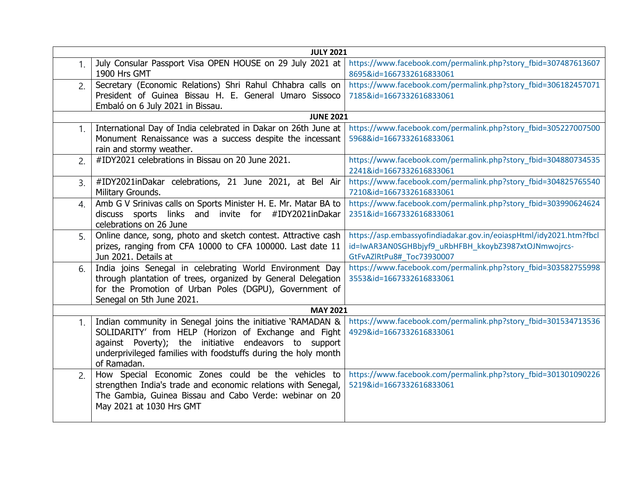| <b>JULY 2021</b>     |                                                                                                                                                                                                                                                               |                                                                                                                                                         |
|----------------------|---------------------------------------------------------------------------------------------------------------------------------------------------------------------------------------------------------------------------------------------------------------|---------------------------------------------------------------------------------------------------------------------------------------------------------|
| 1 <sub>1</sub>       | July Consular Passport Visa OPEN HOUSE on 29 July 2021 at<br>1900 Hrs GMT                                                                                                                                                                                     | https://www.facebook.com/permalink.php?story_fbid=307487613607<br>8695&id=1667332616833061                                                              |
| 2.                   | Secretary (Economic Relations) Shri Rahul Chhabra calls on<br>President of Guinea Bissau H. E. General Umaro Sissoco<br>Embaló on 6 July 2021 in Bissau.                                                                                                      | https://www.facebook.com/permalink.php?story_fbid=306182457071<br>7185&id=1667332616833061                                                              |
|                      | <b>JUNE 2021</b>                                                                                                                                                                                                                                              |                                                                                                                                                         |
| 1.                   | International Day of India celebrated in Dakar on 26th June at<br>Monument Renaissance was a success despite the incessant<br>rain and stormy weather.                                                                                                        | https://www.facebook.com/permalink.php?story fbid=305227007500<br>5968&id=1667332616833061                                                              |
| 2.                   | #IDY2021 celebrations in Bissau on 20 June 2021.                                                                                                                                                                                                              | https://www.facebook.com/permalink.php?story_fbid=304880734535<br>2241&id=1667332616833061                                                              |
| 3.                   | #IDY2021inDakar celebrations, 21 June 2021, at Bel Air<br>Military Grounds.                                                                                                                                                                                   | https://www.facebook.com/permalink.php?story fbid=304825765540<br>7210&id=1667332616833061                                                              |
| $\mathbf{A}_{\cdot}$ | Amb G V Srinivas calls on Sports Minister H. E. Mr. Matar BA to<br>discuss sports links and invite for #IDY2021inDakar<br>celebrations on 26 June                                                                                                             | https://www.facebook.com/permalink.php?story fbid=303990624624<br>2351&id=1667332616833061                                                              |
| 5.                   | Online dance, song, photo and sketch contest. Attractive cash<br>prizes, ranging from CFA 10000 to CFA 100000. Last date 11<br>Jun 2021. Details at                                                                                                           | https://asp.embassyofindiadakar.gov.in/eoiaspHtml/idy2021.htm?fbcl<br>id=IwAR3AN0SGHBbjyf9_uRbHFBH_kkoybZ3987xtOJNmwojrcs-<br>GtFvAZlRtPu8#_Toc73930007 |
| 6.                   | India joins Senegal in celebrating World Environment Day<br>through plantation of trees, organized by General Delegation<br>for the Promotion of Urban Poles (DGPU), Government of<br>Senegal on 5th June 2021.                                               | https://www.facebook.com/permalink.php?story_fbid=303582755998<br>3553&id=1667332616833061                                                              |
|                      | <b>MAY 2021</b>                                                                                                                                                                                                                                               |                                                                                                                                                         |
| 1.                   | Indian community in Senegal joins the initiative 'RAMADAN &<br>SOLIDARITY' from HELP (Horizon of Exchange and Fight<br>against Poverty); the initiative endeavors to support<br>underprivileged families with foodstuffs during the holy month<br>of Ramadan. | https://www.facebook.com/permalink.php?story_fbid=301534713536<br>4929&id=1667332616833061                                                              |
| 2.                   | How Special Economic Zones could be the vehicles to<br>strengthen India's trade and economic relations with Senegal,<br>The Gambia, Guinea Bissau and Cabo Verde: webinar on 20<br>May 2021 at 1030 Hrs GMT                                                   | https://www.facebook.com/permalink.php?story_fbid=301301090226<br>5219&id=1667332616833061                                                              |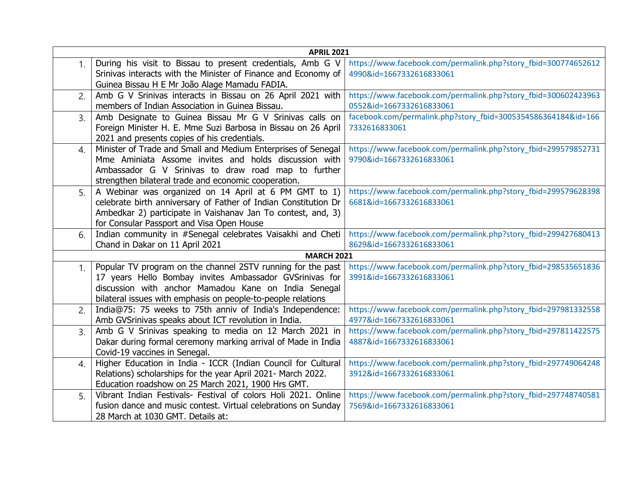| <b>APRIL 2021</b> |                                                                 |                                                                |
|-------------------|-----------------------------------------------------------------|----------------------------------------------------------------|
| 1.                | During his visit to Bissau to present credentials, Amb G V      | https://www.facebook.com/permalink.php?story_fbid=300774652612 |
|                   | Srinivas interacts with the Minister of Finance and Economy of  | 4990&id=1667332616833061                                       |
|                   | Guinea Bissau H E Mr João Alage Mamadu FADIA.                   |                                                                |
| 2.                | Amb G V Srinivas interacts in Bissau on 26 April 2021 with      | https://www.facebook.com/permalink.php?story_fbid=300602423963 |
|                   | members of Indian Association in Guinea Bissau.                 | 0552&id=1667332616833061                                       |
| 3.                | Amb Designate to Guinea Bissau Mr G V Srinivas calls on         | facebook.com/permalink.php?story_fbid=3005354586364184&id=166  |
|                   | Foreign Minister H. E. Mme Suzi Barbosa in Bissau on 26 April   | 7332616833061                                                  |
|                   | 2021 and presents copies of his credentials.                    |                                                                |
| 4.                | Minister of Trade and Small and Medium Enterprises of Senegal   | https://www.facebook.com/permalink.php?story_fbid=299579852731 |
|                   | Mme Aminiata Assome invites and holds discussion with           | 9790&id=1667332616833061                                       |
|                   | Ambassador G V Srinivas to draw road map to further             |                                                                |
|                   | strengthen bilateral trade and economic cooperation.            |                                                                |
| 5.                | A Webinar was organized on 14 April at 6 PM GMT to 1)           | https://www.facebook.com/permalink.php?story_fbid=299579628398 |
|                   | celebrate birth anniversary of Father of Indian Constitution Dr | 6681&id=1667332616833061                                       |
|                   | Ambedkar 2) participate in Vaishanav Jan To contest, and, 3)    |                                                                |
|                   | for Consular Passport and Visa Open House                       |                                                                |
| 6.                | Indian community in #Senegal celebrates Vaisakhi and Cheti      | https://www.facebook.com/permalink.php?story_fbid=299427680413 |
|                   | Chand in Dakar on 11 April 2021                                 | 8629&id=1667332616833061                                       |
|                   | <b>MARCH 2021</b>                                               |                                                                |
| 1 <sub>1</sub>    | Popular TV program on the channel 2STV running for the past     | https://www.facebook.com/permalink.php?story_fbid=298535651836 |
|                   | 17 years Hello Bombay invites Ambassador GVSrinivas for         | 3991&id=1667332616833061                                       |
|                   | discussion with anchor Mamadou Kane on India Senegal            |                                                                |
|                   | bilateral issues with emphasis on people-to-people relations    |                                                                |
| 2.                | India@75: 75 weeks to 75th anniv of India's Independence:       | https://www.facebook.com/permalink.php?story_fbid=297981332558 |
|                   | Amb GVSrinivas speaks about ICT revolution in India.            | 4977&id=1667332616833061                                       |
| $\overline{3}$ .  | Amb G V Srinivas speaking to media on 12 March 2021 in          | https://www.facebook.com/permalink.php?story_fbid=297811422575 |
|                   | Dakar during formal ceremony marking arrival of Made in India   | 4887&id=1667332616833061                                       |
|                   | Covid-19 vaccines in Senegal.                                   |                                                                |
| 4.                | Higher Education in India - ICCR (Indian Council for Cultural   | https://www.facebook.com/permalink.php?story_fbid=297749064248 |
|                   | Relations) scholarships for the year April 2021- March 2022.    | 3912&id=1667332616833061                                       |
|                   | Education roadshow on 25 March 2021, 1900 Hrs GMT.              |                                                                |
| 5.                | Vibrant Indian Festivals- Festival of colors Holi 2021. Online  | https://www.facebook.com/permalink.php?story_fbid=297748740581 |
|                   | fusion dance and music contest. Virtual celebrations on Sunday  | 7569&id=1667332616833061                                       |
|                   | 28 March at 1030 GMT. Details at:                               |                                                                |